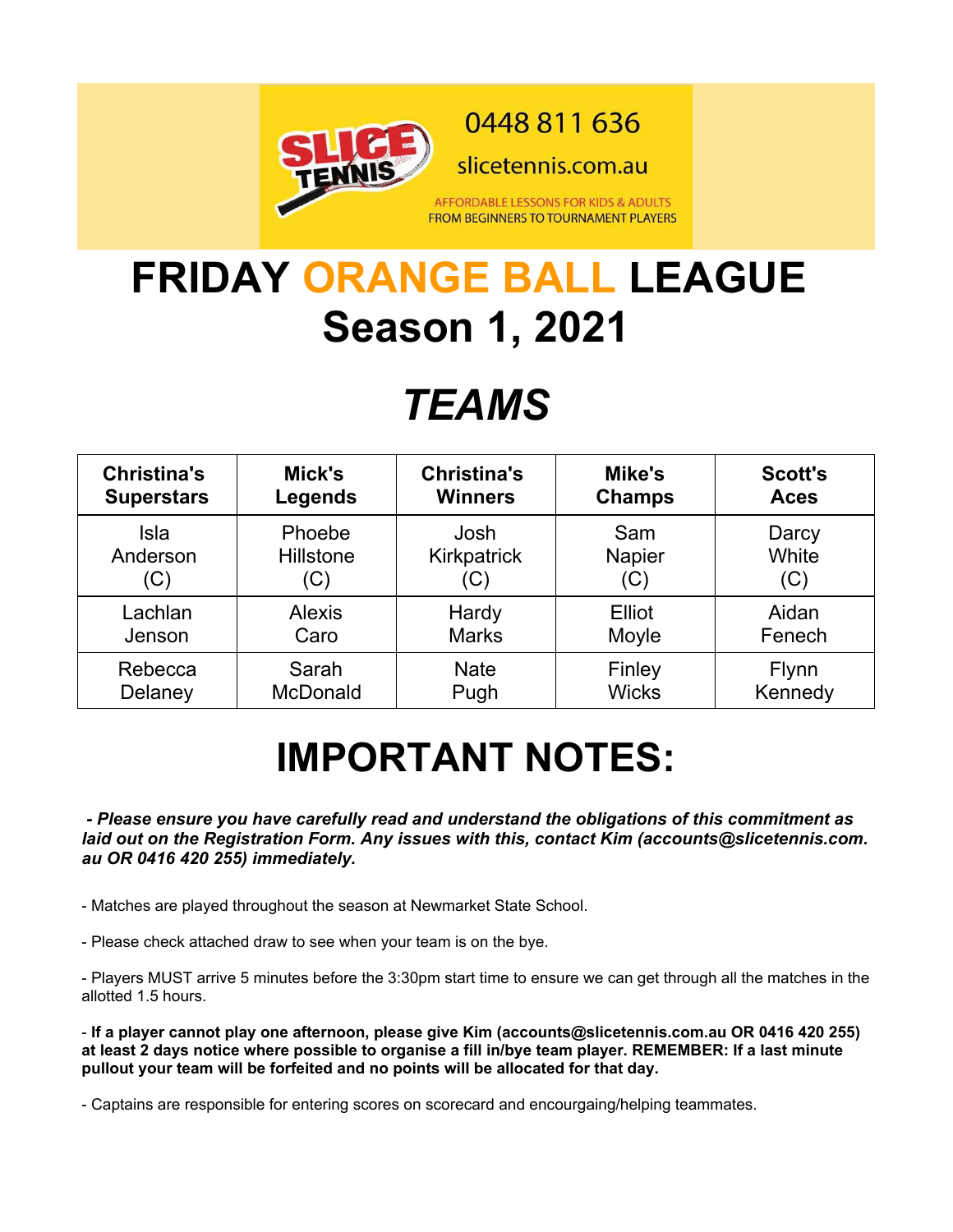

0448 811 636

slicetennis.com.au

AFFORDABLE LESSONS FOR KIDS & ADULTS **FROM BEGINNERS TO TOURNAMENT PLAYERS** 

# **FRIDAY ORANGE BALL LEAGUE Season 1, 2021**

# *TEAMS*

| <b>Christina's</b> | Mick's          | <b>Christina's</b> | Mike's        | <b>Scott's</b> |
|--------------------|-----------------|--------------------|---------------|----------------|
| <b>Superstars</b>  | <b>Legends</b>  | <b>Winners</b>     | <b>Champs</b> | <b>Aces</b>    |
| Isla               | Phoebe          | Josh               | Sam           | Darcy          |
| Anderson           | Hillstone       | Kirkpatrick        | <b>Napier</b> | White          |
| (C)                | (C)             | (C)                | (C)           | (C)            |
| Lachlan            | <b>Alexis</b>   | Hardy              | Elliot        | Aidan          |
| Jenson             | Caro            | <b>Marks</b>       | Moyle         | Fenech         |
| Rebecca            | Sarah           | <b>Nate</b>        | Finley        | Flynn          |
| Delaney            | <b>McDonald</b> | Pugh               | <b>Wicks</b>  | Kennedy        |

# **IMPORTANT NOTES:**

 *- Please ensure you have carefully read and understand the obligations of this commitment as laid out on the Registration Form. Any issues with this, contact Kim (accounts@slicetennis.com. au OR 0416 420 255) immediately.*

- Matches are played throughout the season at Newmarket State School.

- Please check attached draw to see when your team is on the bye.

- Players MUST arrive 5 minutes before the 3:30pm start time to ensure we can get through all the matches in the allotted 1.5 hours.

- **If a player cannot play one afternoon, please give Kim (accounts@slicetennis.com.au OR 0416 420 255) at least 2 days notice where possible to organise a fill in/bye team player. REMEMBER: If a last minute pullout your team will be forfeited and no points will be allocated for that day.**

- Captains are responsible for entering scores on scorecard and encourgaing/helping teammates.